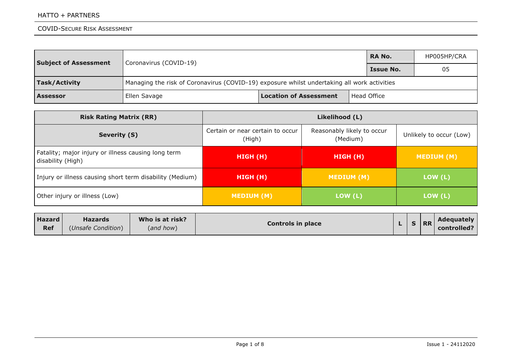| <b>Subject of Assessment</b> | <b>RA No.</b><br>Coronavirus (COVID-19)                                                     |                               |             |  | HP005HP/CRA |  |  |  |
|------------------------------|---------------------------------------------------------------------------------------------|-------------------------------|-------------|--|-------------|--|--|--|
|                              |                                                                                             | <b>Issue No.</b>              |             |  |             |  |  |  |
| Task/Activity                | Managing the risk of Coronavirus (COVID-19) exposure whilst undertaking all work activities |                               |             |  |             |  |  |  |
| <b>Assessor</b>              | Ellen Savage                                                                                | <b>Location of Assessment</b> | Head Office |  |             |  |  |  |

| <b>Risk Rating Matrix (RR)</b>                                           | Likelihood (L)                             |                                        |                         |  |  |  |
|--------------------------------------------------------------------------|--------------------------------------------|----------------------------------------|-------------------------|--|--|--|
| Severity (S)                                                             | Certain or near certain to occur<br>(High) | Reasonably likely to occur<br>(Medium) | Unlikely to occur (Low) |  |  |  |
| Fatality; major injury or illness causing long term<br>disability (High) | HIGH (H)                                   | HIGH (H)                               | MEDIUM (M)              |  |  |  |
| Injury or illness causing short term disability (Medium)                 | <b>HIGH (H)</b>                            | <b>MEDIUM (M)</b>                      | LOW (L)                 |  |  |  |
| Other injury or illness (Low)                                            | MEDIUM (M)                                 | LOW (L)                                |                         |  |  |  |
| اللومية والبالية<br>$M/L = 1 - 1$<br>$11 - - - 14$                       |                                            |                                        | Advanceballe            |  |  |  |

| <b>Hazard</b> | <b>Hazards</b>     | Who is at risk? | <b>Controls in place</b> |  | <b>RR</b> | <b>Adequately</b> |
|---------------|--------------------|-----------------|--------------------------|--|-----------|-------------------|
| <b>Ref</b>    | (Unsafe Condition) | (and how)       |                          |  |           | controlled?       |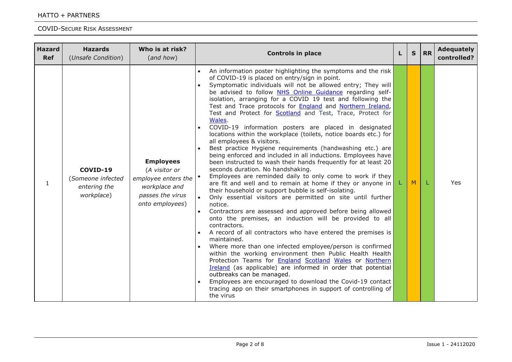| <b>Hazard</b><br><b>Ref</b> | <b>Hazards</b><br>(Unsafe Condition)                        | Who is at risk?<br>(and how)                                                                                     | <b>Controls in place</b>                                                                                                                                                                                                                                                                                                                                                                                                                                                                                                                                                                                                                                                                                                                                                                                                                                                                                                                                                                                                                                                                                                                                                                                                                                                                                                                                                                                                                                                                                                                                                                                                                                                                                                                                                                    | L | $\mathbf{s}$ | <b>RR</b> | <b>Adequately</b><br>controlled? |
|-----------------------------|-------------------------------------------------------------|------------------------------------------------------------------------------------------------------------------|---------------------------------------------------------------------------------------------------------------------------------------------------------------------------------------------------------------------------------------------------------------------------------------------------------------------------------------------------------------------------------------------------------------------------------------------------------------------------------------------------------------------------------------------------------------------------------------------------------------------------------------------------------------------------------------------------------------------------------------------------------------------------------------------------------------------------------------------------------------------------------------------------------------------------------------------------------------------------------------------------------------------------------------------------------------------------------------------------------------------------------------------------------------------------------------------------------------------------------------------------------------------------------------------------------------------------------------------------------------------------------------------------------------------------------------------------------------------------------------------------------------------------------------------------------------------------------------------------------------------------------------------------------------------------------------------------------------------------------------------------------------------------------------------|---|--------------|-----------|----------------------------------|
| $\mathbf{1}$                | COVID-19<br>(Someone infected<br>entering the<br>workplace) | <b>Employees</b><br>(A visitor or<br>employee enters the<br>workplace and<br>passes the virus<br>onto employees) | An information poster highlighting the symptoms and the risk<br>of COVID-19 is placed on entry/sign in point.<br>Symptomatic individuals will not be allowed entry; They will<br>be advised to follow NHS Online Guidance regarding self-<br>isolation, arranging for a COVID 19 test and following the<br>Test and Trace protocols for <b>England</b> and <b>Northern Ireland</b> ,<br>Test and Protect for <b>Scotland</b> and Test, Trace, Protect for<br>Wales.<br>COVID-19 information posters are placed in designated<br>locations within the workplace (toilets, notice boards etc.) for<br>all employees & visitors.<br>Best practice Hygiene requirements (handwashing etc.) are<br>being enforced and included in all inductions. Employees have<br>been instructed to wash their hands frequently for at least 20<br>seconds duration. No handshaking.<br>Employees are reminded daily to only come to work if they<br>are fit and well and to remain at home if they or anyone in<br>their household or support bubble is self-isolating.<br>Only essential visitors are permitted on site until further<br>notice.<br>Contractors are assessed and approved before being allowed<br>onto the premises, an induction will be provided to all<br>contractors.<br>A record of all contractors who have entered the premises is<br>maintained.<br>Where more than one infected employee/person is confirmed<br>within the working environment then Public Health Health<br>Protection Teams for <b>England Scotland Wales</b> or Northern<br>Ireland (as applicable) are informed in order that potential<br>outbreaks can be managed.<br>Employees are encouraged to download the Covid-19 contact<br>tracing app on their smartphones in support of controlling of<br>the virus |   | M            | L         | <b>Yes</b>                       |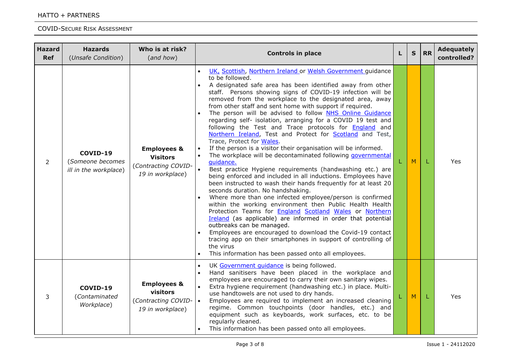| <b>Hazard</b><br><b>Ref</b> | <b>Hazards</b><br>(Unsafe Condition)                  | Who is at risk?<br>(and how)                                                         | <b>Controls in place</b>                                                                                                                                                                                                                                                                                                                                                                                                                                                                                                                                                                                                                                                                                                                                                                                                                                                                                                                                                                                                                                                                                                                                                                                                                                                                                                                                                                                                                                                                                                   | L | $\mathbf S$ | <b>RR</b> | <b>Adequately</b><br>controlled? |
|-----------------------------|-------------------------------------------------------|--------------------------------------------------------------------------------------|----------------------------------------------------------------------------------------------------------------------------------------------------------------------------------------------------------------------------------------------------------------------------------------------------------------------------------------------------------------------------------------------------------------------------------------------------------------------------------------------------------------------------------------------------------------------------------------------------------------------------------------------------------------------------------------------------------------------------------------------------------------------------------------------------------------------------------------------------------------------------------------------------------------------------------------------------------------------------------------------------------------------------------------------------------------------------------------------------------------------------------------------------------------------------------------------------------------------------------------------------------------------------------------------------------------------------------------------------------------------------------------------------------------------------------------------------------------------------------------------------------------------------|---|-------------|-----------|----------------------------------|
| $\overline{2}$              | COVID-19<br>(Someone becomes<br>ill in the workplace) | <b>Employees &amp;</b><br><b>Visitors</b><br>(Contracting COVID-<br>19 in workplace) | UK, Scottish, Northern Ireland or Welsh Government guidance<br>$\bullet$<br>to be followed.<br>A designated safe area has been identified away from other<br>staff. Persons showing signs of COVID-19 infection will be<br>removed from the workplace to the designated area, away<br>from other staff and sent home with support if required.<br>The person will be advised to follow NHS Online Guidance<br>regarding self- isolation, arranging for a COVID 19 test and<br>following the Test and Trace protocols for England and<br>Northern Ireland, Test and Protect for Scotland and Test,<br>Trace, Protect for Wales.<br>If the person is a visitor their organisation will be informed.<br>The workplace will be decontaminated following governmental<br>quidance.<br>Best practice Hygiene requirements (handwashing etc.) are<br>being enforced and included in all inductions. Employees have<br>been instructed to wash their hands frequently for at least 20<br>seconds duration. No handshaking.<br>Where more than one infected employee/person is confirmed<br>within the working environment then Public Health Health<br>Protection Teams for <b>England Scotland Wales</b> or Northern<br>Ireland (as applicable) are informed in order that potential<br>outbreaks can be managed.<br>Employees are encouraged to download the Covid-19 contact<br>tracing app on their smartphones in support of controlling of<br>the virus<br>This information has been passed onto all employees.<br>$\bullet$ |   | M           | L         | Yes                              |
| 3                           | COVID-19<br>(Contaminated<br>Workplace)               | <b>Employees &amp;</b><br>visitors<br>(Contracting COVID-<br>19 in workplace)        | UK Government quidance is being followed.<br>$\bullet$<br>Hand sanitisers have been placed in the workplace and<br>employees are encouraged to carry their own sanitary wipes.<br>Extra hygiene requirement (handwashing etc.) in place. Multi-<br>use handtowels are not used to dry hands.<br>Employees are required to implement an increased cleaning<br>$\bullet$<br>regime. Common touchpoints (door handles, etc.) and<br>equipment such as keyboards, work surfaces, etc. to be<br>regularly cleaned.<br>This information has been passed onto all employees.                                                                                                                                                                                                                                                                                                                                                                                                                                                                                                                                                                                                                                                                                                                                                                                                                                                                                                                                                      |   | M           | L         | Yes                              |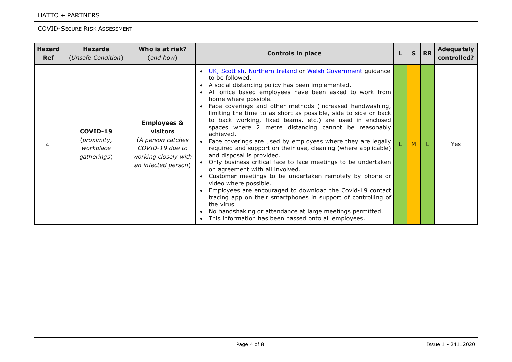#### HATTO + PARTNERS

| <b>Hazard</b><br><b>Ref</b> | <b>Hazards</b><br>(Unsafe Condition)                | Who is at risk?<br>(and how)                                                                                                     | <b>Controls in place</b>                                                                                                                                                                                                                                                                                                                                                                                                                                                                                                                                                                                                                                                                                                                                                                                                                                                                                                                                                                                                                                                                                                |  | S. | <b>RR</b> | <b>Adequately</b><br>controlled? |
|-----------------------------|-----------------------------------------------------|----------------------------------------------------------------------------------------------------------------------------------|-------------------------------------------------------------------------------------------------------------------------------------------------------------------------------------------------------------------------------------------------------------------------------------------------------------------------------------------------------------------------------------------------------------------------------------------------------------------------------------------------------------------------------------------------------------------------------------------------------------------------------------------------------------------------------------------------------------------------------------------------------------------------------------------------------------------------------------------------------------------------------------------------------------------------------------------------------------------------------------------------------------------------------------------------------------------------------------------------------------------------|--|----|-----------|----------------------------------|
| 4                           | COVID-19<br>(proximity,<br>workplace<br>gatherings) | <b>Employees &amp;</b><br><b>visitors</b><br>(A person catches<br>COVID-19 due to<br>working closely with<br>an infected person) | . UK, Scottish, Northern Ireland or Welsh Government guidance<br>to be followed.<br>• A social distancing policy has been implemented.<br>• All office based employees have been asked to work from<br>home where possible.<br>• Face coverings and other methods (increased handwashing,<br>limiting the time to as short as possible, side to side or back<br>to back working, fixed teams, etc.) are used in enclosed<br>spaces where 2 metre distancing cannot be reasonably<br>achieved.<br>• Face coverings are used by employees where they are legally<br>required and support on their use, cleaning (where applicable)<br>and disposal is provided.<br>Only business critical face to face meetings to be undertaken<br>on agreement with all involved.<br>Customer meetings to be undertaken remotely by phone or<br>video where possible.<br>Employees are encouraged to download the Covid-19 contact<br>tracing app on their smartphones in support of controlling of<br>the virus<br>• No handshaking or attendance at large meetings permitted.<br>This information has been passed onto all employees. |  | M  |           | Yes                              |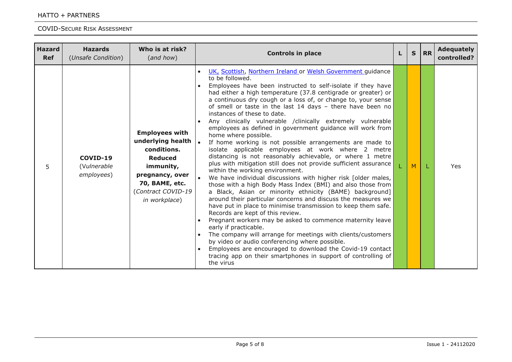#### HATTO + PARTNERS

| <b>Hazard</b><br><b>Ref</b> | <b>Hazards</b><br>(Unsafe Condition)  | Who is at risk?<br>(and how)                                                                                                                                         | <b>Controls in place</b>                                                                                                                                                                                                                                                                                                                                                                                                                                                                                                                                                                                                                                                                                                                                                                                                                                                                                                                                                                                                                                                                                                                                                                                                                                                                                                                                                                                                                                                                                                                  | S | <b>RR</b> | <b>Adequately</b><br>controlled? |
|-----------------------------|---------------------------------------|----------------------------------------------------------------------------------------------------------------------------------------------------------------------|-------------------------------------------------------------------------------------------------------------------------------------------------------------------------------------------------------------------------------------------------------------------------------------------------------------------------------------------------------------------------------------------------------------------------------------------------------------------------------------------------------------------------------------------------------------------------------------------------------------------------------------------------------------------------------------------------------------------------------------------------------------------------------------------------------------------------------------------------------------------------------------------------------------------------------------------------------------------------------------------------------------------------------------------------------------------------------------------------------------------------------------------------------------------------------------------------------------------------------------------------------------------------------------------------------------------------------------------------------------------------------------------------------------------------------------------------------------------------------------------------------------------------------------------|---|-----------|----------------------------------|
| 5                           | COVID-19<br>(Vulnerable<br>employees) | <b>Employees with</b><br>underlying health<br>conditions.<br><b>Reduced</b><br>immunity,<br>pregnancy, over<br>70, BAME, etc.<br>(Contract COVID-19<br>in workplace) | UK, Scottish, Northern Ireland or Welsh Government guidance<br>to be followed.<br>Employees have been instructed to self-isolate if they have<br>had either a high temperature (37.8 centigrade or greater) or<br>a continuous dry cough or a loss of, or change to, your sense<br>of smell or taste in the last 14 days - there have been no<br>instances of these to date.<br>Any clinically vulnerable /clinically extremely vulnerable<br>employees as defined in government guidance will work from<br>home where possible.<br>If home working is not possible arrangements are made to<br>isolate applicable employees at work where 2 metre<br>distancing is not reasonably achievable, or where 1 metre<br>plus with mitigation still does not provide sufficient assurance<br>within the working environment.<br>We have individual discussions with higher risk [older males,<br>those with a high Body Mass Index (BMI) and also those from<br>a Black, Asian or minority ethnicity (BAME) background]<br>around their particular concerns and discuss the measures we<br>have put in place to minimise transmission to keep them safe.<br>Records are kept of this review.<br>Pregnant workers may be asked to commence maternity leave<br>early if practicable.<br>The company will arrange for meetings with clients/customers<br>by video or audio conferencing where possible.<br>Employees are encouraged to download the Covid-19 contact<br>tracing app on their smartphones in support of controlling of<br>the virus | M |           | Yes                              |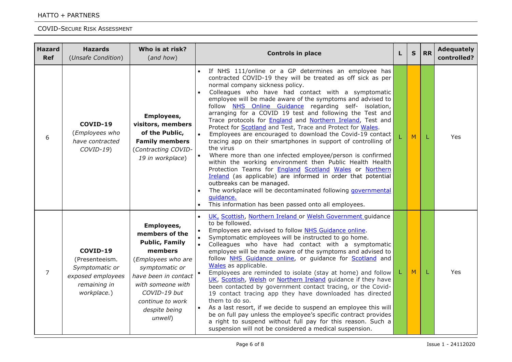| <b>Hazard</b><br><b>Ref</b> | <b>Hazards</b><br>(Unsafe Condition)                                                             | Who is at risk?<br>(and how)                                                                                                                                                                                          | <b>Controls in place</b>                                                                                                                                                                                                                                                                                                                                                                                                                                                                                                                                                                                                                                                                                                                                                                                                                                                                                                                                                                                                                                          |  | $\mathbf{s}$ | <b>RR</b> | <b>Adequately</b><br>controlled? |
|-----------------------------|--------------------------------------------------------------------------------------------------|-----------------------------------------------------------------------------------------------------------------------------------------------------------------------------------------------------------------------|-------------------------------------------------------------------------------------------------------------------------------------------------------------------------------------------------------------------------------------------------------------------------------------------------------------------------------------------------------------------------------------------------------------------------------------------------------------------------------------------------------------------------------------------------------------------------------------------------------------------------------------------------------------------------------------------------------------------------------------------------------------------------------------------------------------------------------------------------------------------------------------------------------------------------------------------------------------------------------------------------------------------------------------------------------------------|--|--------------|-----------|----------------------------------|
| 6                           | COVID-19<br>(Employees who<br>have contracted<br>$COVID-19$ )                                    | Employees,<br>visitors, members<br>of the Public,<br><b>Family members</b><br>(Contracting COVID-<br>19 in workplace)                                                                                                 | contracted COVID-19 they will be treated as off sick as per<br>normal company sickness policy.<br>Colleagues who have had contact with a symptomatic<br>employee will be made aware of the symptoms and advised to<br>follow NHS Online Guidance regarding self- isolation,<br>arranging for a COVID 19 test and following the Test and<br>Trace protocols for <b>England</b> and <b>Northern Ireland</b> , Test and<br>Protect for <b>Scotland</b> and Test, Trace and Protect for Wales.<br>Employees are encouraged to download the Covid-19 contact<br>tracing app on their smartphones in support of controlling of<br>the virus<br>Where more than one infected employee/person is confirmed<br>within the working environment then Public Health Health<br>Protection Teams for <b>England Scotland Wales</b> or Northern<br>Ireland (as applicable) are informed in order that potential<br>outbreaks can be managed.<br>The workplace will be decontaminated following governmental<br>guidance.<br>This information has been passed onto all employees. |  | M            | L         | Yes                              |
| $\overline{7}$              | COVID-19<br>(Presenteeism.<br>Symptomatic or<br>exposed employees<br>remaining in<br>workplace.) | Employees,<br>members of the<br><b>Public, Family</b><br>members<br>(Employees who are<br>symptomatic or<br>have been in contact<br>with someone with<br>COVID-19 but<br>continue to work<br>despite being<br>unwell) | UK, Scottish, Northern Ireland or Welsh Government guidance<br>to be followed.<br>Employees are advised to follow NHS Guidance online.<br>Symptomatic employees will be instructed to go home.<br>Colleagues who have had contact with a symptomatic<br>employee will be made aware of the symptoms and advised to<br>follow NHS Guidance online, or guidance for Scotland and<br>Wales as applicable.<br>Employees are reminded to isolate (stay at home) and follow<br>UK, Scottish, Welsh or Northern Ireland guidance if they have<br>been contacted by government contact tracing, or the Covid-<br>19 contact tracing app they have downloaded has directed<br>them to do so.<br>As a last resort, if we decide to suspend an employee this will<br>be on full pay unless the employee's specific contract provides<br>a right to suspend without full pay for this reason. Such a<br>suspension will not be considered a medical suspension.                                                                                                               |  | M            | L         | Yes                              |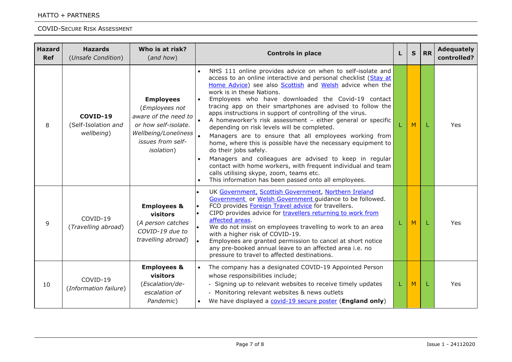| <b>Hazard</b><br><b>Ref</b> | <b>Hazards</b><br>(Unsafe Condition)          | Who is at risk?<br>(and how)                                                                                                                          | <b>Controls in place</b>                                                                                                                                                                                                                                                                                                                                                                                                                                                                                                                                                                                                                                                                                                                                                                                                                                                                              |  | S | <b>RR</b> | <b>Adequately</b><br>controlled? |
|-----------------------------|-----------------------------------------------|-------------------------------------------------------------------------------------------------------------------------------------------------------|-------------------------------------------------------------------------------------------------------------------------------------------------------------------------------------------------------------------------------------------------------------------------------------------------------------------------------------------------------------------------------------------------------------------------------------------------------------------------------------------------------------------------------------------------------------------------------------------------------------------------------------------------------------------------------------------------------------------------------------------------------------------------------------------------------------------------------------------------------------------------------------------------------|--|---|-----------|----------------------------------|
| 8                           | COVID-19<br>(Self-Isolation and<br>wellbeing) | <b>Employees</b><br>(Employees not<br>aware of the need to<br>or how self-isolate.<br>Wellbeing/Loneliness<br>issues from self-<br><i>isolation</i> ) | NHS 111 online provides advice on when to self-isolate and<br>access to an online interactive and personal checklist (Stay at<br>Home Advice) see also Scottish and Welsh advice when the<br>work is in these Nations.<br>Employees who have downloaded the Covid-19 contact<br>tracing app on their smartphones are advised to follow the<br>apps instructions in support of controlling of the virus.<br>A homeworker's risk assessment - either general or specific<br>depending on risk levels will be completed.<br>Managers are to ensure that all employees working from<br>home, where this is possible have the necessary equipment to<br>do their jobs safely.<br>Managers and colleagues are advised to keep in regular<br>contact with home workers, with frequent individual and team<br>calls utilising skype, zoom, teams etc.<br>This information has been passed onto all employees. |  | M | L         | Yes                              |
| 9                           | COVID-19<br>(Travelling abroad)               | <b>Employees &amp;</b><br>visitors<br>(A person catches<br>COVID-19 due to<br>travelling abroad)                                                      | UK Government, Scottish Government, Northern Ireland<br>Government or Welsh Government guidance to be followed.<br>FCO provides Foreign Travel advice for travellers.<br>CIPD provides advice for <b>travellers returning to work from</b><br>affected areas.<br>We do not insist on employees travelling to work to an area<br>with a higher risk of COVID-19.<br>Employees are granted permission to cancel at short notice<br>any pre-booked annual leave to an affected area i.e. no<br>pressure to travel to affected destinations.                                                                                                                                                                                                                                                                                                                                                              |  | M | L         | Yes                              |
| 10                          | COVID-19<br>(Information failure)             | <b>Employees &amp;</b><br>visitors<br>(Escalation/de-<br>escalation of<br>Pandemic)                                                                   | The company has a designated COVID-19 Appointed Person<br>whose responsibilities include;<br>- Signing up to relevant websites to receive timely updates<br>- Monitoring relevant websites & news outlets<br>We have displayed a covid-19 secure poster (England only)                                                                                                                                                                                                                                                                                                                                                                                                                                                                                                                                                                                                                                |  | M | L         | Yes                              |